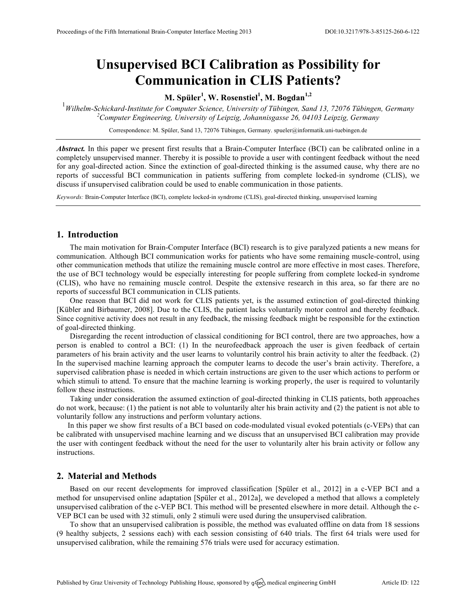# **Unsupervised BCI Calibration as Possibility for Communication in CLIS Patients?**

## **M. Spüler<sup>1</sup> , W. Rosenstiel<sup>1</sup> , M. Bogdan1,2**

1 *Wilhelm-Schickard-Institute for Computer Science, University of Tübingen, Sand 13, 72076 Tübingen, Germany 2 Computer Engineering, University of Leipzig, Johannisgasse 26, 04103 Leipzig, Germany*

Correspondence: M. Spüler, Sand 13, 72076 Tübingen, Germany. spueler@informatik.uni-tuebingen.de

*Abstract.* In this paper we present first results that a Brain-Computer Interface (BCI) can be calibrated online in a completely unsupervised manner. Thereby it is possible to provide a user with contingent feedback without the need for any goal-directed action. Since the extinction of goal-directed thinking is the assumed cause, why there are no reports of successful BCI communication in patients suffering from complete locked-in syndrome (CLIS), we discuss if unsupervised calibration could be used to enable communication in those patients.

*Keywords:* Brain-Computer Interface (BCI), complete locked-in syndrome (CLIS), goal-directed thinking, unsupervised learning

## **1. Introduction**

The main motivation for Brain-Computer Interface (BCI) research is to give paralyzed patients a new means for communication. Although BCI communication works for patients who have some remaining muscle-control, using other communication methods that utilize the remaining muscle control are more effective in most cases. Therefore, the use of BCI technology would be especially interesting for people suffering from complete locked-in syndrome (CLIS), who have no remaining muscle control. Despite the extensive research in this area, so far there are no reports of successful BCI communication in CLIS patients.

One reason that BCI did not work for CLIS patients yet, is the assumed extinction of goal-directed thinking [Kübler and Birbaumer, 2008]. Due to the CLIS, the patient lacks voluntarily motor control and thereby feedback. Since cognitive activity does not result in any feedback, the missing feedback might be responsible for the extinction of goal-directed thinking.

Disregarding the recent introduction of classical conditioning for BCI control, there are two approaches, how a person is enabled to control a BCI: (1) In the neurofeedback approach the user is given feedback of certain parameters of his brain activity and the user learns to voluntarily control his brain activity to alter the feedback. (2) In the supervised machine learning approach the computer learns to decode the user's brain activity. Therefore, a supervised calibration phase is needed in which certain instructions are given to the user which actions to perform or which stimuli to attend. To ensure that the machine learning is working properly, the user is required to voluntarily follow these instructions.

Taking under consideration the assumed extinction of goal-directed thinking in CLIS patients, both approaches do not work, because: (1) the patient is not able to voluntarily alter his brain activity and (2) the patient is not able to voluntarily follow any instructions and perform voluntary actions.

In this paper we show first results of a BCI based on code-modulated visual evoked potentials (c-VEPs) that can be calibrated with unsupervised machine learning and we discuss that an unsupervised BCI calibration may provide the user with contingent feedback without the need for the user to voluntarily alter his brain activity or follow any instructions.

#### **2. Material and Methods**

Based on our recent developments for improved classification [Spüler et al., 2012] in a c-VEP BCI and a method for unsupervised online adaptation [Spüler et al., 2012a], we developed a method that allows a completely unsupervised calibration of the c-VEP BCI. This method will be presented elsewhere in more detail. Although the c-VEP BCI can be used with 32 stimuli, only 2 stimuli were used during the unsupervised calibration.

To show that an unsupervised calibration is possible, the method was evaluated offline on data from 18 sessions (9 healthy subjects, 2 sessions each) with each session consisting of 640 trials. The first 64 trials were used for unsupervised calibration, while the remaining 576 trials were used for accuracy estimation.